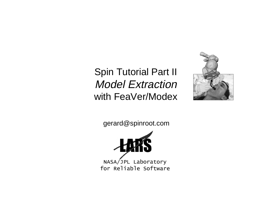### Spin Tutorial Part II Model Extractionwith FeaVer/Modex



gerard@spinroot.com



NASA/JPL Laboratory for Reliable Software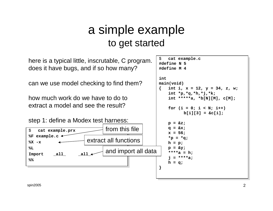### a simple example to get started

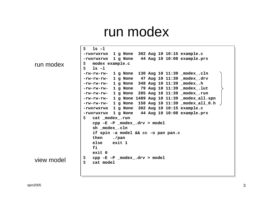## run modex

|            | \$<br>- 1s -1                                      |                                     |  |                                                                                      |
|------------|----------------------------------------------------|-------------------------------------|--|--------------------------------------------------------------------------------------|
|            | -rwxrwxrwx 1 g None 302 Aug 10 10:15 example.c     |                                     |  |                                                                                      |
|            |                                                    |                                     |  | -rwxrwxrwx 1 g None 44 Aug 10 10:08 example.prx                                      |
| run modex  | \$                                                 | modex example.c                     |  |                                                                                      |
|            | \$<br>$ls -1$                                      |                                     |  |                                                                                      |
|            |                                                    |                                     |  | $-rw-rw-rw-1$ g None 130 Aug 10 11:39 $\mod$ ex .cln                                 |
|            |                                                    |                                     |  | $-rw-rw-rw- 1 g$ None 47 Aug 10 11:39 $\text{modex}_d$ .drv                          |
|            | $-rw-rw-rw-1$ g None 348 Aug 10 11:39 $\mod$ ex .h |                                     |  |                                                                                      |
|            |                                                    |                                     |  | $-rw-rw-rw- 1 g$ None 79 Aug 10 11:39 $\text{modex}$ . lut                           |
|            |                                                    |                                     |  | $-rw-rw-rw-1$ g None 285 Aug 10 11:39 modex .run                                     |
|            |                                                    |                                     |  | $-rw-rw-rw$ 1 g None 1489 Aug 10 11:39 $\text{modex}_a$ all.spn                      |
|            |                                                    |                                     |  | $-rw-rw-rw- 1 g$ None 158 Aug 10 11:39 $\text{\textendash}$ all $\text{\textendash}$ |
|            | $-rwxrwxrwx$ 1 g None 302 Aug 10 10:15 example.c   |                                     |  |                                                                                      |
|            |                                                    |                                     |  | -rwxrwxrwx 1 g None 44 Aug 10 10:08 example.prx                                      |
|            | \$                                                 | cat modex .run                      |  |                                                                                      |
|            |                                                    | cpp -E -P _modex_.drv > model       |  |                                                                                      |
|            |                                                    | sh modex.cln                        |  |                                                                                      |
|            |                                                    | if spin -a model && cc -o pan pan.c |  |                                                                                      |
|            | then                                               | ./pan                               |  |                                                                                      |
|            |                                                    | else exit 1                         |  |                                                                                      |
|            | fi                                                 |                                     |  |                                                                                      |
|            | exist 0                                            |                                     |  |                                                                                      |
| view model | \$                                                 | $cpp$ -E -P $modex$ .drv > model    |  |                                                                                      |
|            | \$<br>cat model                                    |                                     |  |                                                                                      |
|            |                                                    |                                     |  |                                                                                      |
|            |                                                    |                                     |  |                                                                                      |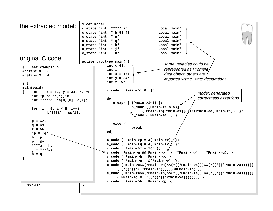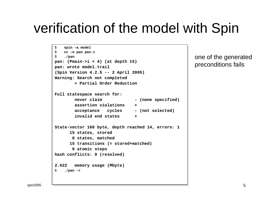# verification of the model with Spin

```
$ spin –a model
$ cc –o pan pan.c
$ ./pan
pan: (Pmain->i < 4) (at depth 15)
pan: wrote model.trail
(Spin Version 4.2.5 -- 2 April 2005)
Warning: Search not completed
       + Partial Order ReductionFull statespace search for:
       never claim - (none specified)
       assertion violations +acceptance cycles - (not selected)
        invalid end states +State-vector 160 byte, depth reached 14, errors: 1
     15 states, stored
      0 states, matched
     15 transitions (= stored+matched)
      0 atomic steps
hash conflicts: 0 (resolved)
2.622 memory usage (Mbyte)
$ ./pan –r
```
one of the generated preconditions fails

spin2005 5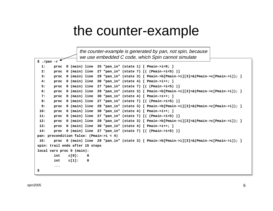## the counter-example

| the counter-example is generated by pan, not spin, because                                            |
|-------------------------------------------------------------------------------------------------------|
| we use embedded C code, which Spin cannot simulate                                                    |
| $\frac{1}{2}$ ./pan -r                                                                                |
| 1:<br>0 (main) line<br>25 "pan in" (state 1) [ Pmain->i=0; ]<br>proc                                  |
| 0 (main) line<br>2:<br>27 "pan in" (state 7) [( (Pmain->i<5) )]<br>proc                               |
| 0 (main) line<br>29 "pan_in" (state 3) [ Pmain->b[Pmain->i][3]=&(Pmain->c[Pmain->i]); ]<br>3:<br>proc |
| 0 (main) line<br>30 "pan_in" (state 4) [ Pmain->i++; ]<br>4:<br>proc                                  |
| 0 (main) line<br>27 "pan_in" (state 7) [( (Pmain->i<5) )]<br>5:<br>proc                               |
| 0 (main) line<br>29 "pan_in" (state 3) [ Pmain->b[Pmain->i][3]=&(Pmain->c[Pmain->i]); ]<br>6:<br>proc |
| 0 (main) line<br>30 "pan in" (state 4) [ Pmain->i++; ]<br>7:<br>proc                                  |
| 0 (main) line<br>27 "pan_in" (state 7) [( (Pmain->i<5) )]<br>8:<br>proc                               |
| 29 "pan_in" (state 3) [ Pmain->b[Pmain->i][3]=&(Pmain->c[Pmain->i]); ]<br>9:<br>0 (main) line<br>proc |
| 10:<br>0 (main) line<br>30 "pan in" (state 4) [ Pmain- $>i$ ++; ]<br>proc                             |
| 11:<br>0 (main) line<br>27  "pan in" (state 7) [( (Pmain->i<5) )]<br>proc                             |
| 0 (main) line 29 "pan_in" (state 3) [ Pmain->b[Pmain->i][3]=&(Pmain->c[Pmain->i]); ]<br>12:<br>proc   |
| 13:<br>0 (main) line<br>30 "pan in" (state 4) [ Pmain->i++; ]<br>proc                                 |
| 14:<br>0 (main) line 27 "pan in" (state 7) [( $(Pmain > i < 5)$ )]<br>proc                            |
| pan: precondition false: $(Pmain > i < 4)$                                                            |
| 0 (main) line 29 "pan_in" (state 3) [ Pmain->b[Pmain->i][3]=&(Pmain->c[Pmain->i]); ]<br>15:<br>proc   |
| spin: trail ends after 15 steps                                                                       |
| local vars proc 0 (main):                                                                             |
| int<br>c[0]:<br>$\mathbf 0$                                                                           |
| c[1]:<br>$\mathbf 0$<br>int                                                                           |
| $\cdots$                                                                                              |
| \$                                                                                                    |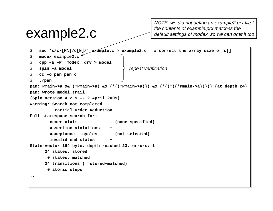## example2.c

NOTE: we did not define an example2.prx file ! the contents of example.prx matches the default settings of modex, so we can omit it too

```
spin2005 7.0 minutes and the contract of the contract of the contract of the contract of the contract of the c
$ sed 's/c\[M\]/c[N]/' example.c > example2.c # correct the array size of c[]
$ modex example2.c
$ cpp –E –P _modex_.drv > model
$ spin –a model
$ cc –o pan pan.c
$ ./pan
pan: Pmain->a && (*Pmain->a) && (*((*Pmain->a))) && (*((*((*Pmain->a))))) (at depth 24)
pan: wrote model.trail
(Spin Version 4.2.5 -- 2 April 2005)
Warning: Search not completed
        + Partial Order ReductionFull statespace search for:
        never claim - (none specified)
        assertion violations +acceptance cycles - (not selected)
        invalid end states +State-vector 164 byte, depth reached 23, errors: 1
      24 states, stored
       0 states, matched
      24 transitions (= stored+matched)
       0 atomic steps
 ...repeat verification
```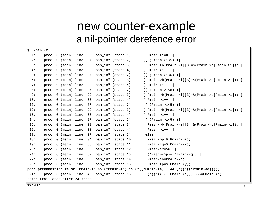### new counter-example a nil-pointer derefence error

| \$<br>./pan -r                                                                                |      |  |               |  |  |                                           |  |                                                                               |
|-----------------------------------------------------------------------------------------------|------|--|---------------|--|--|-------------------------------------------|--|-------------------------------------------------------------------------------|
| 1:                                                                                            | proc |  |               |  |  | 0 (main) line 25 "pan in" (state 1)       |  | $[$ Pmain->i=0; $]$                                                           |
| 2:                                                                                            | proc |  | 0 (main) line |  |  | $27$ "pan in" (state $7)$                 |  | $[$ ( (Pmain->i<5) )]                                                         |
| 3:                                                                                            | proc |  | 0 (main) line |  |  | $29$ "pan_in" (state 3)                   |  | $[ \text{Pmain->b}[\text{Pmain->i}][3]=\&(\text{Pmain->c}[\text{Pmain->i}]);$ |
| 4 :                                                                                           | proc |  | 0 (main) line |  |  | $30$ "pan_in" (state 4)                   |  | $[$ Pmain->i++; ]                                                             |
| 5:                                                                                            | proc |  | 0 (main) line |  |  | 27 "pan_in" (state 7)                     |  | $[$ ( $(Pmain->i<5)$ )]                                                       |
| 6:                                                                                            | proc |  | 0 (main) line |  |  | $29$ "pan in" (state 3)                   |  | $[$ Pmain->b[Pmain->i][3]=&(Pmain->c[Pmain->i]); ]                            |
| 7:                                                                                            | proc |  | 0 (main) line |  |  | $30$ "pan in" (state 4)                   |  | $[$ Pmain->i++; $]$                                                           |
| 8:                                                                                            | proc |  | 0 (main) line |  |  | $27$ "pan in" (state $7)$                 |  | $[$ ( (Pmain->i<5) )]                                                         |
| 9:                                                                                            | proc |  | 0 (main) line |  |  | 29 "pan_in" (state 3)                     |  | $[$ Pmain->b[Pmain->i][3]=&(Pmain->c[Pmain->i]); ]                            |
| 10:                                                                                           | proc |  | 0 (main) line |  |  | $30$ "pan_in" (state 4)                   |  | $[$ Pmain->i++; ]                                                             |
| 11:                                                                                           | proc |  | 0 (main) line |  |  | 27 "pan_in" (state 7)                     |  | $[$ ( $(Pmain->i<5)$ )]                                                       |
| 12:                                                                                           | proc |  | 0 (main) line |  |  | $29$ "pan in" (state 3)                   |  | $[$ Pmain->b[Pmain->i][3]=&(Pmain->c[Pmain->i]); ]                            |
| 13:                                                                                           | proc |  | 0 (main) line |  |  | $30$ "pan in" (state 4)                   |  | $[$ Pmain->i++; ]                                                             |
| 14:                                                                                           | proc |  | 0 (main) line |  |  | 27 "pan_in" (state 7)                     |  | $[$ ( $(Pmain->i<5)$ )]                                                       |
| 15:                                                                                           | proc |  | 0 (main) line |  |  | $29$ "pan_in" (state 3)                   |  | $[$ Pmain->b[Pmain->i][3]=&(Pmain->c[Pmain->i]); ]                            |
| 16:                                                                                           | proc |  | 0 (main) line |  |  | $30$ "pan_in" (state 4)                   |  | $[$ Pmain->i++; $]$                                                           |
| 17:                                                                                           | proc |  | 0 (main) line |  |  | 27 "pan_in" (state 7)                     |  | [else]                                                                        |
| 18:                                                                                           | proc |  | 0 (main) line |  |  | $34$ "pan in" (state $10$ )               |  | $[$ Pmain->p=& (Pmain->z); ]                                                  |
| 19:                                                                                           | proc |  | 0 (main) line |  |  | $35$ "pan in" (state 11)                  |  | $[$ Pmain->q=& (Pmain->x); ]                                                  |
| 20:                                                                                           | proc |  | 0 (main) line |  |  | 36 "pan_in" (state 12)                    |  | $[$ Pmain->x=56; $]$                                                          |
| 21:                                                                                           | proc |  | 0 (main) line |  |  | 37 "pan in" (state 13)                    |  | $[$ (*Pmain->p)=(*Pmain->q); ]                                                |
| 22:                                                                                           | proc |  | 0 (main) line |  |  | 38 "pan in" (state 14)                    |  | [ Pmain->h=Pmain->p; ]                                                        |
| 23:                                                                                           | proc |  | 0 (main) line |  |  | 39 "pan in" (state 15)                    |  | [ $Pmain->p=\&(Pmain->y);$ ]                                                  |
| pan: precondition false: Pmain->a && (*Pmain->a) && (*((*Pmain->a))) && (*((*((*Pmain->a))))) |      |  |               |  |  |                                           |  |                                                                               |
| 24:                                                                                           |      |  |               |  |  | proc 0 (main) line 40 "pan_in" (state 16) |  | $[$ (*((*((*((*Pmain->a)))))))=Pmain->h; ]                                    |
| spin: trail ends after 24 steps                                                               |      |  |               |  |  |                                           |  |                                                                               |

spin2005 8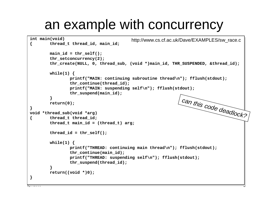## an example with concurrency

```
spinalous and the contract of the contract of the contract of the contract of the contract of the contract of the contract of the contract of the contract of the contract of the contract of the contract of the contract of 
 int main(void)
 { thread_t thread_id, main_id;
         main id = thr self();
          thr_setconcurrency(2);
          thr create(NULL, 0, thread sub, (void *)main id, THR SUSPENDED, &thread id);
          while(1) {
                   printf("MAIN: continuing subroutine thread\n"); fflush(stdout);
                   thr_continue(thread_id);
                   printf("MAIN: suspending self\n"); fflush(stdout);
                   thr_suspend(main_id);
          }
          return(0);
 }
void *thread_sub(void *arg)
 { thread_t thread_id;
          thread_t main_id = (thread_t) arg;
          thread id = thr self();
          while(1) {
                   printf("THREAD: continuing main thread\n"); fflush(stdout);
                   thr_continue(main_id);
                   printf("THREAD: suspending self\n"); fflush(stdout);
                   thr_suspend(thread_id);
          }
          return((void *)0);
 }
                                                                      can this code deadlock?
                                                http://www.cs.cf.ac.uk/Dave/EXAMPLES/sw_race.c
```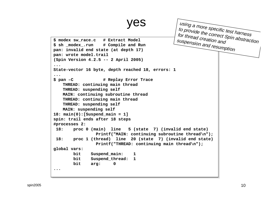```
yes
```


**...**

**...**

**...**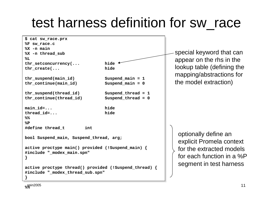# test harness definition for sw\_race

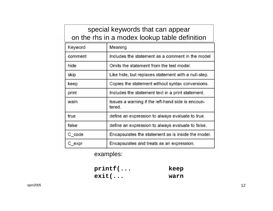#### special keywords that can appear on the rhs in a modex lookup table definition

| Keyword     | Meaning                                                    |
|-------------|------------------------------------------------------------|
| comment     | Includes the statement as a comment in the model           |
| <b>hide</b> | Omits the statement from the test model.                   |
| skip        | Like hide, but replaces statement with a null-step.        |
| keep        | Copies the statement without syntax conversions.           |
| print       | Includes the statement text in a print statement.          |
| warn        | Issues a warning if the left-hand side is encoun-<br>tered |
| true.       | define an expression to always evaluate to true.           |
| false       | define an expression to always evaluate to false.          |
| C code      | Encapsulates the statement as is inside the model.         |
| $C$ expr    | Encapsulates and treats as an expression.                  |

examples:

| $print($      | keep |
|---------------|------|
| $exit(\ldots$ | warn |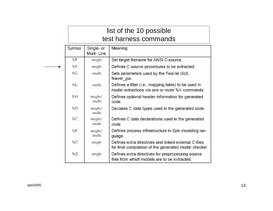|                 | list of the 10 possible<br>test harness commands |                                                                                                              |  |  |  |  |  |
|-----------------|--------------------------------------------------|--------------------------------------------------------------------------------------------------------------|--|--|--|--|--|
| Symbol          | Single- or<br>Multi-Line                         | Meaning                                                                                                      |  |  |  |  |  |
| $\% \mathbb{F}$ | single                                           | Set target filename for ANSI C-source.                                                                       |  |  |  |  |  |
| %X              | single                                           | Defines C source procedures to be extracted.                                                                 |  |  |  |  |  |
| %G              | multi                                            | Sets parameters used by the FeaVer GUI,<br>feaver qui.                                                       |  |  |  |  |  |
| %L.             | multi                                            | Defines a filter (i.e., mapping table) to be used in<br>model extractions via one or more %X commands.       |  |  |  |  |  |
| %H              | single/<br>multi                                 | Defines optional header information for generated<br>code .                                                  |  |  |  |  |  |
| %D              | single/<br>multi                                 | Declares C data types used in the generated code.                                                            |  |  |  |  |  |
| %C              | single/<br>multi                                 | Defines C data declarations used in the generated<br>code .                                                  |  |  |  |  |  |
| $\%$ P          | single/<br>multi                                 | Defines process infrastructure in Spin modeling lan-<br>quage.                                               |  |  |  |  |  |
| $\%$ O          | single                                           | Defines extra directives and linked external C-files<br>for final compilation of the generated model checker |  |  |  |  |  |
| %Q              | single                                           | Defines extra directives for preprocessing source<br>files from which models are to be extracted.            |  |  |  |  |  |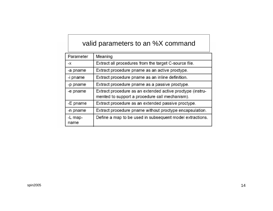#### valid parameters to an %X command

| Parameter       | Meaning                                                                                                     |
|-----------------|-------------------------------------------------------------------------------------------------------------|
| $-10^{\circ}$   | Extract all procedures from the target C-source file.                                                       |
| -a pname        | Extract procedure pname as an active proctype.                                                              |
| -i pname        | Extract procedure pname as an inline definition.                                                            |
| -p pname        | Extract procedure pname as a passive proctype.                                                              |
| -e pname        | Extract procedure as an extended active proctype (instru-<br>mented to support a procedure call mechanism). |
| -E pname        | Extract procedure as an extended passive proctype.                                                          |
| -n pname        | Extract procedure pname without proctype encapsulation.                                                     |
| -L map-<br>name | Define a map to be used in subsequent model extractions.                                                    |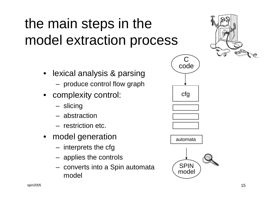# the main steps in the model extraction process

- • lexical analysis & parsing
	- –produce control flow graph
- complexity control:
	- –slicing
	- abstraction
	- restriction etc.
- • model generation
	- –interprets the cfg
	- –applies the controls
	- – converts into a Spin automata model

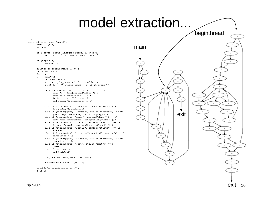## model extraction...

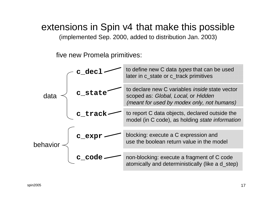### extensions in Spin v4 that make this possible

(implemented Sep. 2000, added to distribution Jan. 2003)

five new Promela primitives:

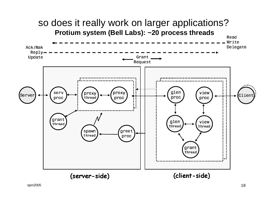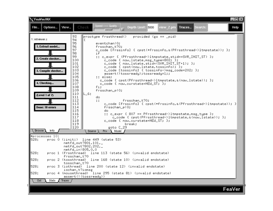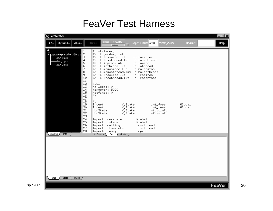### **FeaVer Test Harness**

| XFeaVer/AX                                                                                                                                                                                                                                                                                                                                                                                                                                                                                                                                                                                                                                                       | $\Box$      |
|------------------------------------------------------------------------------------------------------------------------------------------------------------------------------------------------------------------------------------------------------------------------------------------------------------------------------------------------------------------------------------------------------------------------------------------------------------------------------------------------------------------------------------------------------------------------------------------------------------------------------------------------------------------|-------------|
| Speed <-> Quality<br>Options<br>View<br>Check<br>Depth Limit: 5000<br>view_2.prx<br>Search:<br>File<br>$= -1$<br>ш                                                                                                                                                                                                                                                                                                                                                                                                                                                                                                                                               | <b>Help</b> |
| Ł<br>$\begin{array}{c} 1 \\ 2 \\ 3 \end{array}$<br>XF mtviewer.c<br> %X -L _modex_.lut<br>/n/popp/v6/gerard/Port/Glenda/<br>XX -L tossproc.lut<br>-n tossproc<br>-view_0.pr×<br>$\overline{4}$<br> %X −L tossthread.lut<br>-n tossthread<br>-view_1.prx<br>5<br>6<br>XX -L ioproc.lut<br>-n ioproc<br>-view_2.pr×<br>XX -L iothread.lut<br>-n iothread<br>7<br> %X −L mouseproc.lut<br>-n mouseproc<br>8<br>XX -L mousethread.lut -n mousethread<br>9<br>XX -L frssproc.lut<br>-n frssproc<br>10<br>%X -L frssthread.lut<br>-n frssthread<br>11<br>12<br>∥%GUI<br>$\overline{13}$<br>np_loops: 0<br>14<br>maxdepth: 5000<br>15<br>notfixed: 0<br>16<br>1%%<br>17 |             |
| 18<br>∥%L<br>19<br>Insert<br>Global<br>V_State<br>ini_frss<br>20<br>Insert<br>V_State<br>Global<br>ini_toss<br>21<br>NonState<br>V_State<br>*tossinfo<br>$\frac{22}{23}$<br> NonState<br>V_State<br>*frssinfo                                                                                                                                                                                                                                                                                                                                                                                                                                                    |             |
| $\overline{24}$<br>Global<br>Import curstate<br>25<br>Global<br>Import<br>lstate<br>26<br>Import<br>tossthread<br>waiting<br>27<br>Import<br>ltmpstate<br>frssthread<br>28<br>Import<br>iomsg<br>ioproc                                                                                                                                                                                                                                                                                                                                                                                                                                                          |             |
| Info<br>Browse<br>$PrX = \bigwedge$ Model /<br>Source \                                                                                                                                                                                                                                                                                                                                                                                                                                                                                                                                                                                                          |             |
|                                                                                                                                                                                                                                                                                                                                                                                                                                                                                                                                                                                                                                                                  |             |
|                                                                                                                                                                                                                                                                                                                                                                                                                                                                                                                                                                                                                                                                  |             |
|                                                                                                                                                                                                                                                                                                                                                                                                                                                                                                                                                                                                                                                                  |             |
|                                                                                                                                                                                                                                                                                                                                                                                                                                                                                                                                                                                                                                                                  |             |
| <b>Stats</b><br>Out<br>Traces                                                                                                                                                                                                                                                                                                                                                                                                                                                                                                                                                                                                                                    |             |
|                                                                                                                                                                                                                                                                                                                                                                                                                                                                                                                                                                                                                                                                  | FeaVer      |

20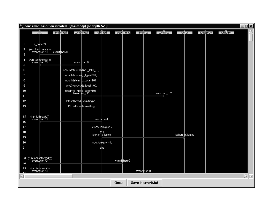|                |                                       | $\boldsymbol{\times}$ pan: error: assertion violated !(tossready) (at depth 528) |                                         |          |             |                    |              |                     |           | $\Box$ |
|----------------|---------------------------------------|----------------------------------------------------------------------------------|-----------------------------------------|----------|-------------|--------------------|--------------|---------------------|-----------|--------|
|                | tirit:                                | frssthread                                                                       | tosstriread                             | iothread | mousethread | frssproc           | tossproc     | ioproc<br>mouseproc | scheduler |        |
|                |                                       |                                                                                  |                                         |          |             |                    |              |                     |           |        |
|                | c_cople83                             |                                                                                  |                                         |          |             |                    |              |                     |           |        |
| 2              | (run frssthread())<br>eventopan?0     | event¢han!0                                                                      |                                         |          |             |                    |              |                     |           |        |
| 3              |                                       |                                                                                  |                                         |          |             |                    |              |                     |           |        |
| 4<br>5         | (run tossthread())<br>eventohan?0     |                                                                                  | event¢han!0                             |          |             |                    |              |                     |           |        |
| 6              |                                       |                                                                                  | now.lstate.stid SVR_INIT_ST;            |          |             |                    |              |                     |           |        |
| $\overline{7}$ |                                       |                                                                                  | now.lstate.m\$g_type=801;               |          |             |                    |              |                     |           |        |
| 8              |                                       |                                                                                  | now.lstate.msg_code=101;                |          |             |                    |              |                     |           |        |
| 9              |                                       |                                                                                  | cpst(now.lstate,tossinfo);              |          |             |                    |              |                     |           |        |
| 10             |                                       |                                                                                  | tossinfo->msg_code=101;<br>tosschan_p!0 |          |             |                    | tosschan_p?0 |                     |           |        |
| 11<br>12       |                                       |                                                                                  | Ptossthread -> waiting=1;               |          |             |                    |              |                     |           |        |
| 13             |                                       |                                                                                  | Ptossthread->waiting                    |          |             |                    |              |                     |           |        |
|                |                                       |                                                                                  |                                         |          |             |                    |              |                     |           |        |
| 15             | (run iothread())<br>eventohan?0       |                                                                                  | event than!0                            |          |             |                    |              |                     |           |        |
| 16             |                                       |                                                                                  |                                         |          |             |                    |              |                     |           |        |
| 17             |                                       |                                                                                  | (!now.idreapen)                         |          |             |                    |              |                     |           |        |
| 18<br>19       |                                       |                                                                                  | iochan_pliomsg                          |          |             |                    |              | iochan_p?iomsg      |           |        |
| 20             |                                       |                                                                                  | now.iordgpen=1;                         |          |             |                    |              |                     |           |        |
| 21             |                                       |                                                                                  | elβe                                    |          |             |                    |              |                     |           |        |
|                |                                       |                                                                                  |                                         |          |             |                    |              |                     |           |        |
|                | 23 (run mousethread())<br>eventopan?0 |                                                                                  |                                         |          | event¢han!0 |                    |              |                     |           |        |
| 24             |                                       |                                                                                  |                                         |          |             |                    |              |                     |           |        |
| 25             | (run frstproc())<br>eventopan?0       |                                                                                  |                                         |          |             | event¢han!0        |              |                     |           |        |
|                |                                       |                                                                                  |                                         |          |             |                    |              |                     |           | ≻l     |
|                |                                       |                                                                                  |                                         | Close    |             | Save in error0.txt |              |                     |           |        |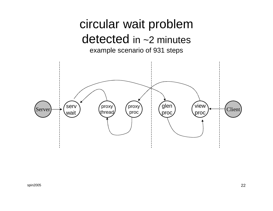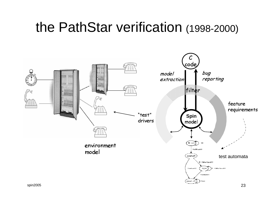# the PathStar verification (1998-2000)

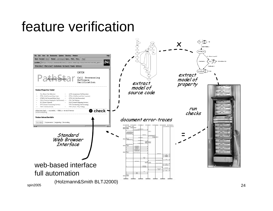# feature verification

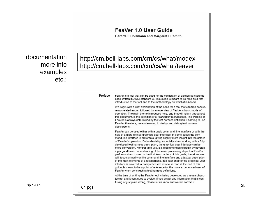#### documentationmore info examples etc.:

| http://cm.bell-labs.com/cm/cs/what/modex<br>http://cm.bell-labs.com/cm/cs/what/feaver |                                                                                                                                                                                                                                                                                                                                                                                                                                                                                                                                                              |  |  |  |  |  |
|---------------------------------------------------------------------------------------|--------------------------------------------------------------------------------------------------------------------------------------------------------------------------------------------------------------------------------------------------------------------------------------------------------------------------------------------------------------------------------------------------------------------------------------------------------------------------------------------------------------------------------------------------------------|--|--|--|--|--|
|                                                                                       |                                                                                                                                                                                                                                                                                                                                                                                                                                                                                                                                                              |  |  |  |  |  |
| Preface                                                                               | FeaVer is a tool that can be used for the verification of distributed systems<br>code written in ANSI-standard C. This quide is meant to be read as a first<br>introduction to the tool and to the methodology on which it is based.                                                                                                                                                                                                                                                                                                                         |  |  |  |  |  |
|                                                                                       | We begin with a brief explanation of the need for a tool that can trap concur-<br>rency related errors, followed by an overview of FeaVer's basic mode of<br>operation. The main theme introduced here, and that will return throughout<br>this document, is the definition of a verification test harness. The working of<br>FeaVer is always determined by the test harness definition. Learning to use<br>FeaVer, therefore, means learning to design and debug test harness<br>descriptions.                                                             |  |  |  |  |  |
|                                                                                       | FeaVer can be used either with a basic command-line interface or with the<br>help of a more refined graphical user interface. In some cases the com-<br>mand-line interface is preferable, giving slightly more insight into the details<br>of FeaVer's operation. But undeniably, especially when working with a fully<br>developed test harness description, the graphical user interface can be<br>more convenient. For first-time use, it is recommended to begin by develop-<br>ing a good basic understanding of the main processing steps that FeaVer |  |  |  |  |  |

performs when it runs. In the first few chapters of this guide, therefore, we will focus primarily on the command-line interface and a textual description of the main elements of a test harness. In a later chapter the graphical user interface is covered. A comprehensive review section at the end of this guide, is meant to be a point of reference for the more experienced user of

At the time of writing the FeaVer tool is being developed as a research prototype, and it continues to evolve. If you detect any information that is confusing or just plain wrong, please let us know and we will correct it.

FeaVer when constructing test hamess definitions.

FeaVer 1.0 User Guide

Gerard J. Holzmann and Margaret H. Smith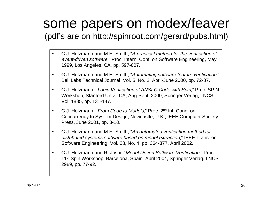# some papers on modex/feaver

(pdf's are on http://spinroot.com/gerard/pubs.html)

- • G.J. Holzmann and M.H. Smith, "A practical method for the verification of event-driven software," Proc. Intern. Conf. on Software Engineering, May 1999, Los Angeles, CA, pp. 597-607.
- • G.J. Holzmann and M.H. Smith, "Automating software feature verification," Bell Labs Technical Journal, Vol. 5, No. 2, April-June 2000, pp. 72-87.
- $\bullet$  G.J. Holzmann, "Logic Verification of ANSI-C Code with Spin," Proc. SPIN Workshop, Stanford Univ., CA, Aug-Sept. 2000, Springer Verlag, LNCS Vol. 1885, pp. 131-147.
- $\bullet$  G.J. Holzmann, "From Code to Models," Proc. 2nd Int. Cong. on Concurrency to System Design, Newcastle, U.K., IEEE Computer Society Press, June 2001, pp. 3-10.
- $\bullet$  G.J. Holzmann and M.H. Smith, "An automated verification method for distributed systems software based on model extraction," IEEE Trans. on Software Engineering, Vol. 28, No. 4, pp. 364-377, April 2002.
- • G.J. Holzmann and R. Joshi, "Model Driven Software Verification," Proc. 11th Spin Workshop, Barcelona, Spain, April 2004, Springer Verlag, LNCS 2989, pp. 77-92.